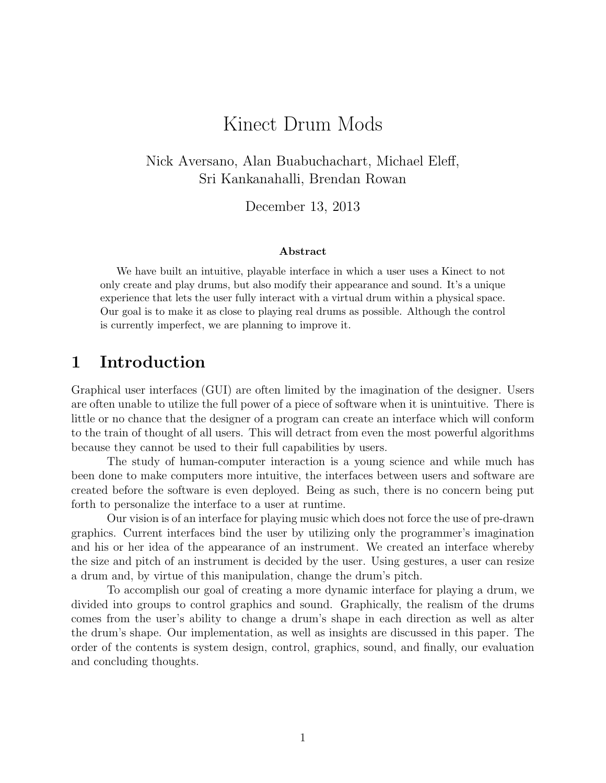## Kinect Drum Mods

Nick Aversano, Alan Buabuchachart, Michael Eleff, Sri Kankanahalli, Brendan Rowan

December 13, 2013

#### Abstract

We have built an intuitive, playable interface in which a user uses a Kinect to not only create and play drums, but also modify their appearance and sound. It's a unique experience that lets the user fully interact with a virtual drum within a physical space. Our goal is to make it as close to playing real drums as possible. Although the control is currently imperfect, we are planning to improve it.

### 1 Introduction

Graphical user interfaces (GUI) are often limited by the imagination of the designer. Users are often unable to utilize the full power of a piece of software when it is unintuitive. There is little or no chance that the designer of a program can create an interface which will conform to the train of thought of all users. This will detract from even the most powerful algorithms because they cannot be used to their full capabilities by users.

The study of human-computer interaction is a young science and while much has been done to make computers more intuitive, the interfaces between users and software are created before the software is even deployed. Being as such, there is no concern being put forth to personalize the interface to a user at runtime.

Our vision is of an interface for playing music which does not force the use of pre-drawn graphics. Current interfaces bind the user by utilizing only the programmer's imagination and his or her idea of the appearance of an instrument. We created an interface whereby the size and pitch of an instrument is decided by the user. Using gestures, a user can resize a drum and, by virtue of this manipulation, change the drum's pitch.

To accomplish our goal of creating a more dynamic interface for playing a drum, we divided into groups to control graphics and sound. Graphically, the realism of the drums comes from the user's ability to change a drum's shape in each direction as well as alter the drum's shape. Our implementation, as well as insights are discussed in this paper. The order of the contents is system design, control, graphics, sound, and finally, our evaluation and concluding thoughts.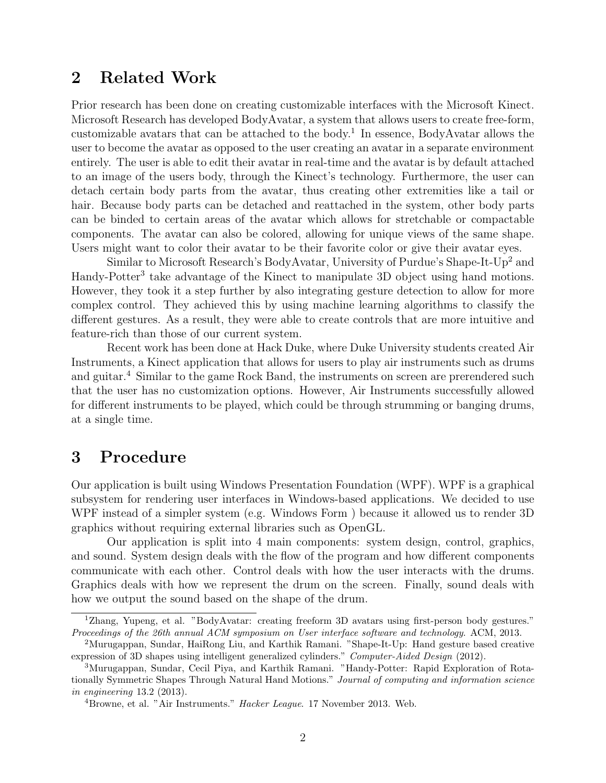### 2 Related Work

Prior research has been done on creating customizable interfaces with the Microsoft Kinect. Microsoft Research has developed BodyAvatar, a system that allows users to create free-form, customizable avatars that can be attached to the body.<sup>1</sup> In essence, BodyAvatar allows the user to become the avatar as opposed to the user creating an avatar in a separate environment entirely. The user is able to edit their avatar in real-time and the avatar is by default attached to an image of the users body, through the Kinect's technology. Furthermore, the user can detach certain body parts from the avatar, thus creating other extremities like a tail or hair. Because body parts can be detached and reattached in the system, other body parts can be binded to certain areas of the avatar which allows for stretchable or compactable components. The avatar can also be colored, allowing for unique views of the same shape. Users might want to color their avatar to be their favorite color or give their avatar eyes.

Similar to Microsoft Research's BodyAvatar, University of Purdue's Shape-It-Up<sup>2</sup> and Handy-Potter<sup>3</sup> take advantage of the Kinect to manipulate 3D object using hand motions. However, they took it a step further by also integrating gesture detection to allow for more complex control. They achieved this by using machine learning algorithms to classify the different gestures. As a result, they were able to create controls that are more intuitive and feature-rich than those of our current system.

Recent work has been done at Hack Duke, where Duke University students created Air Instruments, a Kinect application that allows for users to play air instruments such as drums and guitar.<sup>4</sup> Similar to the game Rock Band, the instruments on screen are prerendered such that the user has no customization options. However, Air Instruments successfully allowed for different instruments to be played, which could be through strumming or banging drums, at a single time.

### 3 Procedure

Our application is built using Windows Presentation Foundation (WPF). WPF is a graphical subsystem for rendering user interfaces in Windows-based applications. We decided to use WPF instead of a simpler system (e.g. Windows Form ) because it allowed us to render 3D graphics without requiring external libraries such as OpenGL.

Our application is split into 4 main components: system design, control, graphics, and sound. System design deals with the flow of the program and how different components communicate with each other. Control deals with how the user interacts with the drums. Graphics deals with how we represent the drum on the screen. Finally, sound deals with how we output the sound based on the shape of the drum.

<sup>1</sup>Zhang, Yupeng, et al. "BodyAvatar: creating freeform 3D avatars using first-person body gestures." Proceedings of the 26th annual ACM symposium on User interface software and technology. ACM, 2013.

<sup>2</sup>Murugappan, Sundar, HaiRong Liu, and Karthik Ramani. "Shape-It-Up: Hand gesture based creative expression of 3D shapes using intelligent generalized cylinders." Computer-Aided Design (2012).

<sup>3</sup>Murugappan, Sundar, Cecil Piya, and Karthik Ramani. "Handy-Potter: Rapid Exploration of Rotationally Symmetric Shapes Through Natural Hand Motions." Journal of computing and information science in engineering 13.2 (2013).

<sup>&</sup>lt;sup>4</sup>Browne, et al. "Air Instruments." *Hacker League*. 17 November 2013. Web.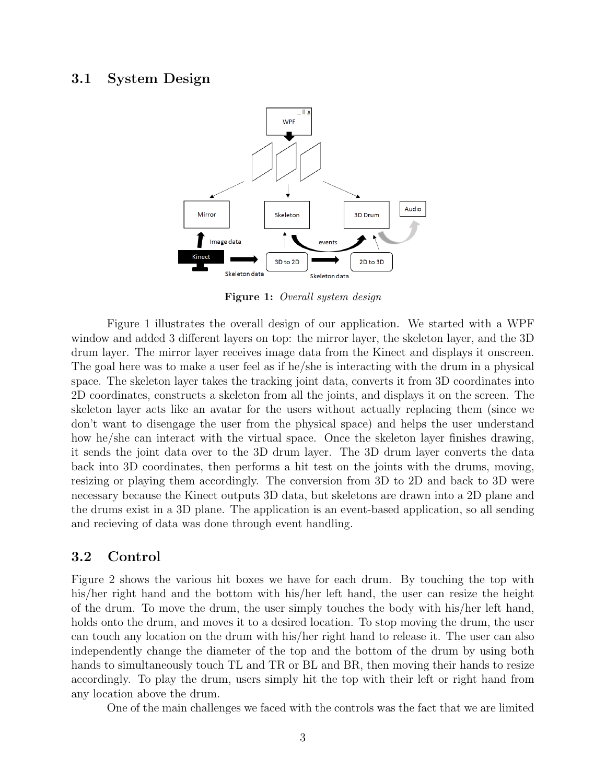#### 3.1 System Design



Figure 1: Overall system design

Figure 1 illustrates the overall design of our application. We started with a WPF window and added 3 different layers on top: the mirror layer, the skeleton layer, and the 3D drum layer. The mirror layer receives image data from the Kinect and displays it onscreen. The goal here was to make a user feel as if he/she is interacting with the drum in a physical space. The skeleton layer takes the tracking joint data, converts it from 3D coordinates into 2D coordinates, constructs a skeleton from all the joints, and displays it on the screen. The skeleton layer acts like an avatar for the users without actually replacing them (since we don't want to disengage the user from the physical space) and helps the user understand how he/she can interact with the virtual space. Once the skeleton layer finishes drawing, it sends the joint data over to the 3D drum layer. The 3D drum layer converts the data back into 3D coordinates, then performs a hit test on the joints with the drums, moving, resizing or playing them accordingly. The conversion from 3D to 2D and back to 3D were necessary because the Kinect outputs 3D data, but skeletons are drawn into a 2D plane and the drums exist in a 3D plane. The application is an event-based application, so all sending and recieving of data was done through event handling.

#### 3.2 Control

Figure 2 shows the various hit boxes we have for each drum. By touching the top with his/her right hand and the bottom with his/her left hand, the user can resize the height of the drum. To move the drum, the user simply touches the body with his/her left hand, holds onto the drum, and moves it to a desired location. To stop moving the drum, the user can touch any location on the drum with his/her right hand to release it. The user can also independently change the diameter of the top and the bottom of the drum by using both hands to simultaneously touch TL and TR or BL and BR, then moving their hands to resize accordingly. To play the drum, users simply hit the top with their left or right hand from any location above the drum.

One of the main challenges we faced with the controls was the fact that we are limited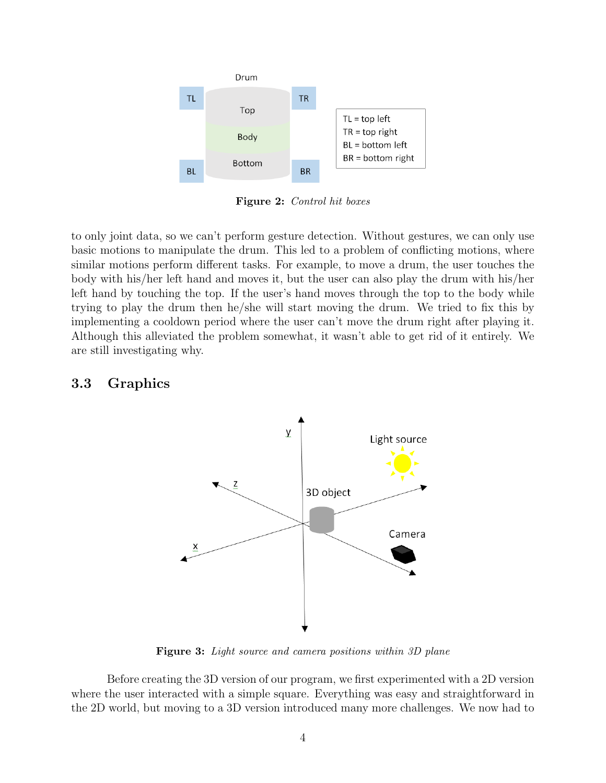

Figure 2: Control hit boxes

to only joint data, so we can't perform gesture detection. Without gestures, we can only use basic motions to manipulate the drum. This led to a problem of conflicting motions, where similar motions perform different tasks. For example, to move a drum, the user touches the body with his/her left hand and moves it, but the user can also play the drum with his/her left hand by touching the top. If the user's hand moves through the top to the body while trying to play the drum then he/she will start moving the drum. We tried to fix this by implementing a cooldown period where the user can't move the drum right after playing it. Although this alleviated the problem somewhat, it wasn't able to get rid of it entirely. We are still investigating why.

### 3.3 Graphics



Figure 3: Light source and camera positions within 3D plane

Before creating the 3D version of our program, we first experimented with a 2D version where the user interacted with a simple square. Everything was easy and straightforward in the 2D world, but moving to a 3D version introduced many more challenges. We now had to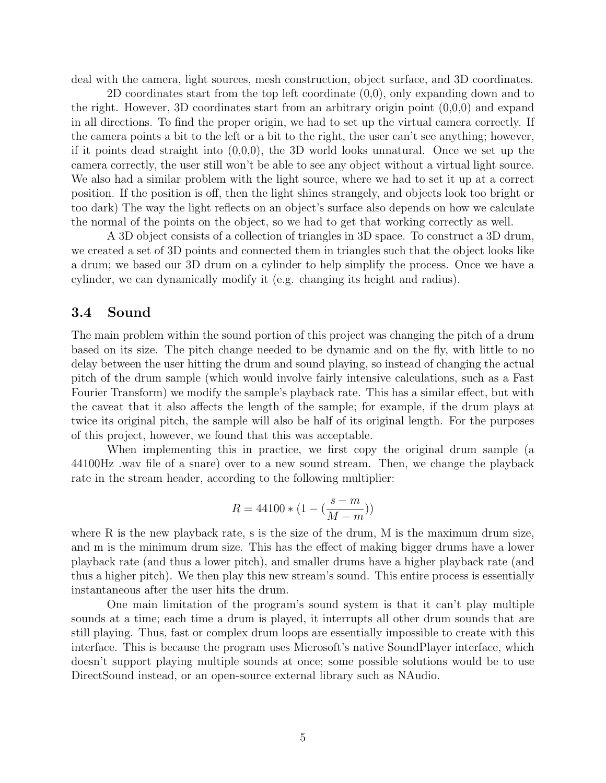deal with the camera, light sources, mesh construction, object surface, and 3D coordinates.

2D coordinates start from the top left coordinate (0,0), only expanding down and to the right. However, 3D coordinates start from an arbitrary origin point  $(0,0,0)$  and expand in all directions. To find the proper origin, we had to set up the virtual camera correctly. If the camera points a bit to the left or a bit to the right, the user can't see anything; however, if it points dead straight into  $(0,0,0)$ , the 3D world looks unnatural. Once we set up the camera correctly, the user still won't be able to see any object without a virtual light source. We also had a similar problem with the light source, where we had to set it up at a correct position. If the position is off, then the light shines strangely, and objects look too bright or too dark) The way the light reflects on an object's surface also depends on how we calculate the normal of the points on the object, so we had to get that working correctly as well.

A 3D object consists of a collection of triangles in 3D space. To construct a 3D drum, we created a set of 3D points and connected them in triangles such that the object looks like a drum; we based our 3D drum on a cylinder to help simplify the process. Once we have a cylinder, we can dynamically modify it (e.g. changing its height and radius).

#### 3.4 Sound

The main problem within the sound portion of this project was changing the pitch of a drum based on its size. The pitch change needed to be dynamic and on the fly, with little to no delay between the user hitting the drum and sound playing, so instead of changing the actual pitch of the drum sample (which would involve fairly intensive calculations, such as a Fast Fourier Transform) we modify the sample's playback rate. This has a similar effect, but with the caveat that it also affects the length of the sample; for example, if the drum plays at twice its original pitch, the sample will also be half of its original length. For the purposes of this project, however, we found that this was acceptable.

When implementing this in practice, we first copy the original drum sample (a 44100Hz .wav file of a snare) over to a new sound stream. Then, we change the playback rate in the stream header, according to the following multiplier:

$$
R=44100*(1-(\frac{s-m}{M-m}))
$$

where R is the new playback rate, s is the size of the drum, M is the maximum drum size, and m is the minimum drum size. This has the effect of making bigger drums have a lower playback rate (and thus a lower pitch), and smaller drums have a higher playback rate (and thus a higher pitch). We then play this new stream's sound. This entire process is essentially instantaneous after the user hits the drum.

One main limitation of the program's sound system is that it can't play multiple sounds at a time; each time a drum is played, it interrupts all other drum sounds that are still playing. Thus, fast or complex drum loops are essentially impossible to create with this interface. This is because the program uses Microsoft's native SoundPlayer interface, which doesn't support playing multiple sounds at once; some possible solutions would be to use DirectSound instead, or an open-source external library such as NAudio.